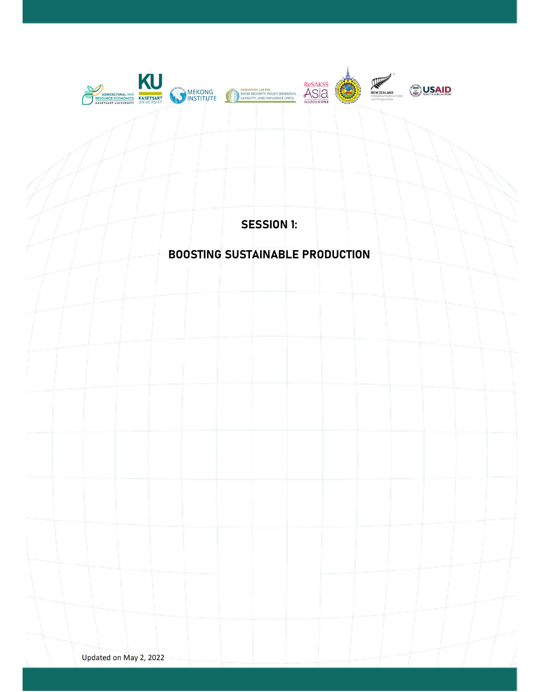

SESSION 1:

# BOOSTING SUSTAINABLE PRODUCTION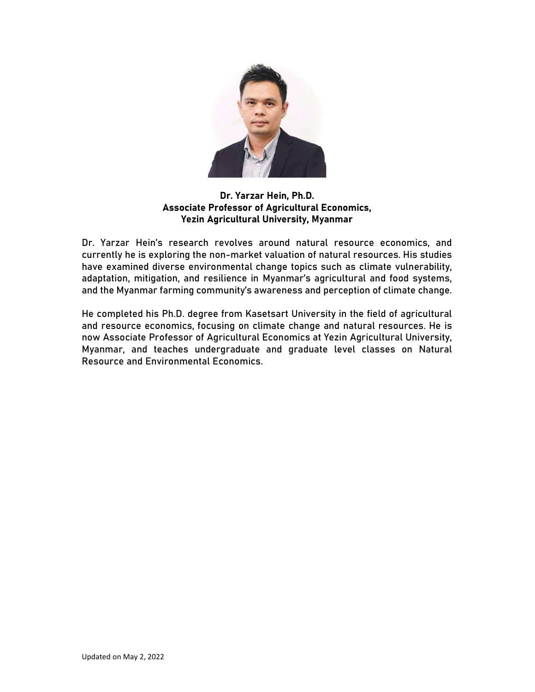

# Dr. Yarzar Hein, Ph.D. Associate Professor of Agricultural Economics, Yezin Agricultural University, Myanmar

Dr. Yarzar Hein's research revolves around natural resource economics, and currently he is exploring the non-market valuation of natural resources. His studies have examined diverse environmental change topics such as climate vulnerability, adaptation, mitigation, and resilience in Myanmar's agricultural and food systems, and the Myanmar farming community's awareness and perception of climate change.

He completed his Ph.D. degree from Kasetsart University in the field of agricultural and resource economics, focusing on climate change and natural resources. He is now Associate Professor of Agricultural Economics at Yezin Agricultural University, Myanmar, and teaches undergraduate and graduate level classes on Natural Resource and Environmental Economics.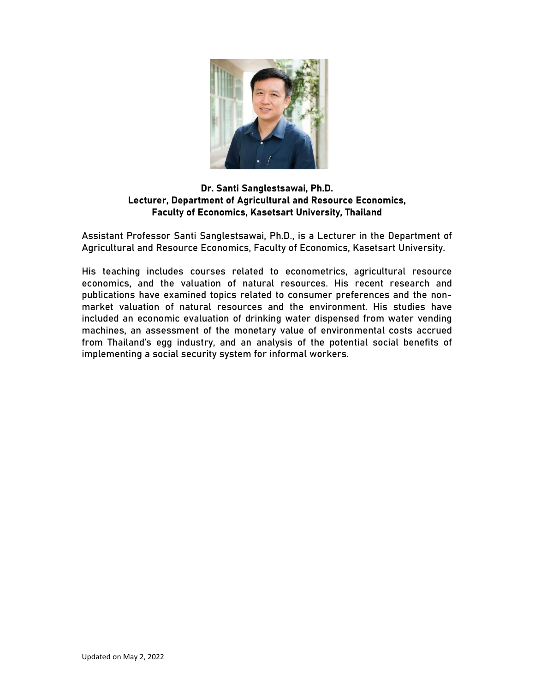

# Dr. Santi Sanglestsawai, Ph.D. Lecturer, Department of Agricultural and Resource Economics, Faculty of Economics, Kasetsart University, Thailand

Assistant Professor Santi Sanglestsawai, Ph.D., is a Lecturer in the Department of Agricultural and Resource Economics, Faculty of Economics, Kasetsart University.

His teaching includes courses related to econometrics, agricultural resource economics, and the valuation of natural resources. His recent research and publications have examined topics related to consumer preferences and the nonmarket valuation of natural resources and the environment. His studies have included an economic evaluation of drinking water dispensed from water vending machines, an assessment of the monetary value of environmental costs accrued from Thailand's egg industry, and an analysis of the potential social benefits of implementing a social security system for informal workers.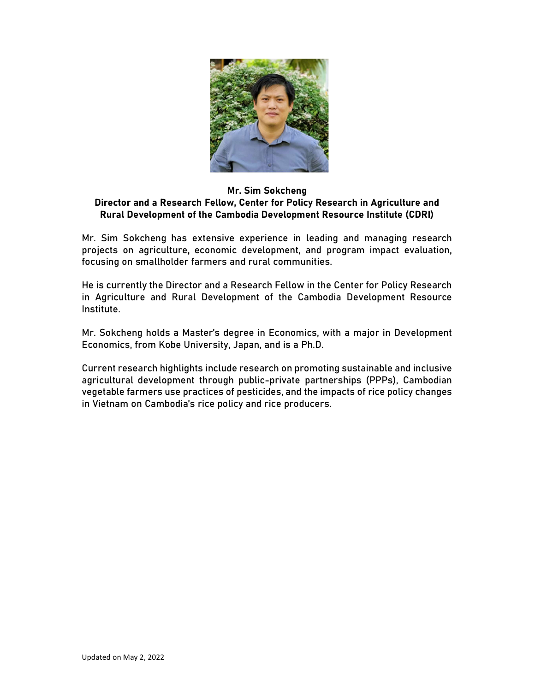

#### Mr. Sim Sokcheng Director and a Research Fellow, Center for Policy Research in Agriculture and Rural Development of the Cambodia Development Resource Institute (CDRI)

Mr. Sim Sokcheng has extensive experience in leading and managing research projects on agriculture, economic development, and program impact evaluation, focusing on smallholder farmers and rural communities.

He is currently the Director and a Research Fellow in the Center for Policy Research in Agriculture and Rural Development of the Cambodia Development Resource Institute.

Mr. Sokcheng holds a Master's degree in Economics, with a major in Development Economics, from Kobe University, Japan, and is a Ph.D.

Current research highlights include research on promoting sustainable and inclusive agricultural development through public-private partnerships (PPPs), Cambodian vegetable farmers use practices of pesticides, and the impacts of rice policy changes in Vietnam on Cambodia's rice policy and rice producers.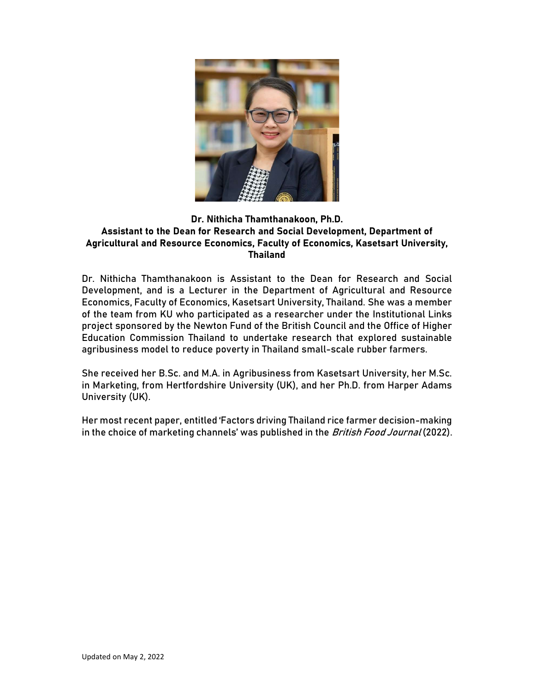

# Dr. Nithicha Thamthanakoon, Ph.D. Assistant to the Dean for Research and Social Development, Department of Agricultural and Resource Economics, Faculty of Economics, Kasetsart University, Thailand

Dr. Nithicha Thamthanakoon is Assistant to the Dean for Research and Social Development, and is a Lecturer in the Department of Agricultural and Resource Economics, Faculty of Economics, Kasetsart University, Thailand. She was a member of the team from KU who participated as a researcher under the Institutional Links project sponsored by the Newton Fund of the British Council and the Office of Higher Education Commission Thailand to undertake research that explored sustainable agribusiness model to reduce poverty in Thailand small-scale rubber farmers.

She received her B.Sc. and M.A. in Agribusiness from Kasetsart University, her M.Sc. in Marketing, from Hertfordshire University (UK), and her Ph.D. from Harper Adams University (UK).

Her most recent paper, entitled 'Factors driving Thailand rice farmer decision-making in the choice of marketing channels' was published in the British Food Journal (2022).